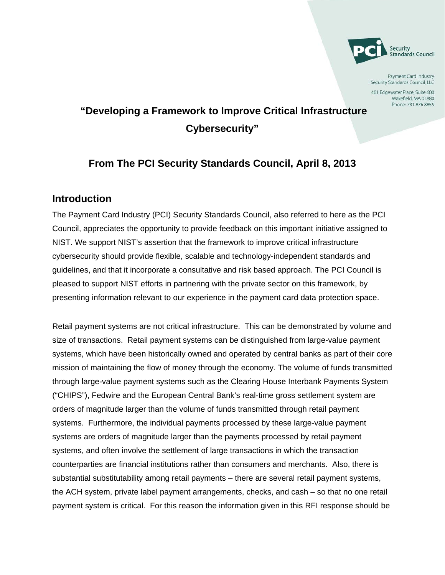

Payment Card Industry Security Standards Council, LLC

401 Edgewater Place, Suite 600 Wakefield, MA 01880 Phone: 781 876 8855

# **"Developing a Framework to Improve Critical Infrastructure Cybersecurity"**

## **From The PCI Security Standards Council, April 8, 2013**

### **Introduction**

The Payment Card Industry (PCI) Security Standards Council, also referred to here as the PCI Council, appreciates the opportunity to provide feedback on this important initiative assigned to NIST. We support NIST's assertion that the framework to improve critical infrastructure cybersecurity should provide flexible, scalable and technology-independent standards and guidelines, and that it incorporate a consultative and risk based approach. The PCI Council is pleased to support NIST efforts in partnering with the private sector on this framework, by presenting information relevant to our experience in the payment card data protection space.

Retail payment systems are not critical infrastructure. This can be demonstrated by volume and size of transactions. Retail payment systems can be distinguished from large-value payment systems, which have been historically owned and operated by central banks as part of their core mission of maintaining the flow of money through the economy. The volume of funds transmitted through large-value payment systems such as the Clearing House Interbank Payments System ("CHIPS"), Fedwire and the European Central Bank's real-time gross settlement system are orders of magnitude larger than the volume of funds transmitted through retail payment systems. Furthermore, the individual payments processed by these large-value payment systems are orders of magnitude larger than the payments processed by retail payment systems, and often involve the settlement of large transactions in which the transaction counterparties are financial institutions rather than consumers and merchants. Also, there is substantial substitutability among retail payments – there are several retail payment systems, the ACH system, private label payment arrangements, checks, and cash – so that no one retail payment system is critical. For this reason the information given in this RFI response should be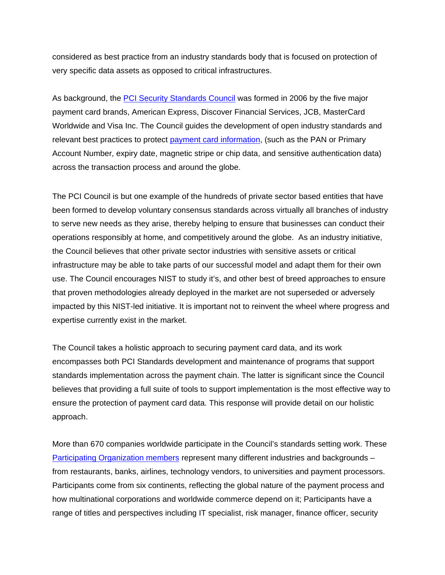considered as best practice from an industry standards body that is focused on protection of very specific data assets as opposed to critical infrastructures.

As background, the [PCI Security Standards Council](https://www.pcisecuritystandards.org/index.php) was formed in 2006 by the five major payment card brands, American Express, Discover Financial Services, JCB, MasterCard Worldwide and Visa Inc. The Council guides the development of open industry standards and relevant best practices to protect [payment card information,](https://www.pcisecuritystandards.org/security_standards/glossary.php%23C) (such as the PAN or Primary Account Number, expiry date, magnetic stripe or chip data, and sensitive authentication data) across the transaction process and around the globe.

The PCI Council is but one example of the hundreds of private sector based entities that have been formed to develop voluntary consensus standards across virtually all branches of industry to serve new needs as they arise, thereby helping to ensure that businesses can conduct their operations responsibly at home, and competitively around the globe. As an industry initiative, the Council believes that other private sector industries with sensitive assets or critical infrastructure may be able to take parts of our successful model and adapt them for their own use. The Council encourages NIST to study it's, and other best of breed approaches to ensure that proven methodologies already deployed in the market are not superseded or adversely impacted by this NIST-led initiative. It is important not to reinvent the wheel where progress and expertise currently exist in the market.

The Council takes a holistic approach to securing payment card data, and its work encompasses both PCI Standards development and maintenance of programs that support standards implementation across the payment chain. The latter is significant since the Council believes that providing a full suite of tools to support implementation is the most effective way to ensure the protection of payment card data. This response will provide detail on our holistic approach.

More than 670 companies worldwide participate in the Council's standards setting work. These [Participating Organization members](https://www.pcisecuritystandards.org/get_involved/member_list.php) represent many different industries and backgrounds – from restaurants, banks, airlines, technology vendors, to universities and payment processors. Participants come from six continents, reflecting the global nature of the payment process and how multinational corporations and worldwide commerce depend on it; Participants have a range of titles and perspectives including IT specialist, risk manager, finance officer, security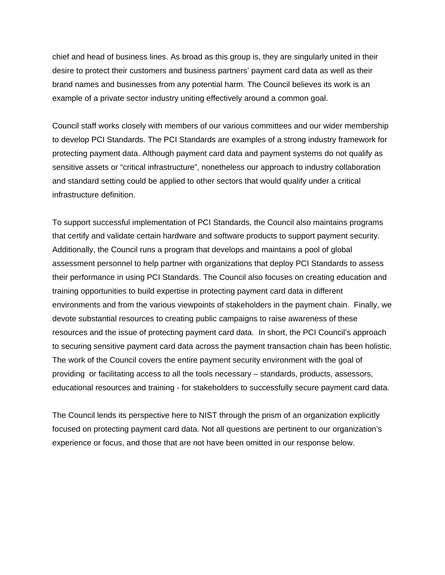chief and head of business lines. As broad as this group is, they are singularly united in their desire to protect their customers and business partners' payment card data as well as their brand names and businesses from any potential harm. The Council believes its work is an example of a private sector industry uniting effectively around a common goal.

Council staff works closely with members of our various committees and our wider membership to develop PCI Standards. The PCI Standards are examples of a strong industry framework for protecting payment data. Although payment card data and payment systems do not qualify as sensitive assets or "critical infrastructure", nonetheless our approach to industry collaboration and standard setting could be applied to other sectors that would qualify under a critical infrastructure definition.

To support successful implementation of PCI Standards, the Council also maintains programs that certify and validate certain hardware and software products to support payment security. Additionally, the Council runs a program that develops and maintains a pool of global assessment personnel to help partner with organizations that deploy PCI Standards to assess their performance in using PCI Standards. The Council also focuses on creating education and training opportunities to build expertise in protecting payment card data in different environments and from the various viewpoints of stakeholders in the payment chain. Finally, we devote substantial resources to creating public campaigns to raise awareness of these resources and the issue of protecting payment card data. In short, the PCI Council's approach to securing sensitive payment card data across the payment transaction chain has been holistic. The work of the Council covers the entire payment security environment with the goal of providing or facilitating access to all the tools necessary – standards, products, assessors, educational resources and training - for stakeholders to successfully secure payment card data.

The Council lends its perspective here to NIST through the prism of an organization explicitly focused on protecting payment card data. Not all questions are pertinent to our organization's experience or focus, and those that are not have been omitted in our response below.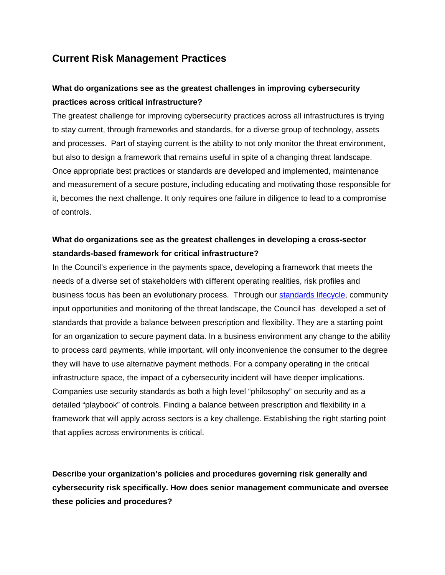## **Current Risk Management Practices**

## **What do organizations see as the greatest challenges in improving cybersecurity practices across critical infrastructure?**

The greatest challenge for improving cybersecurity practices across all infrastructures is trying to stay current, through frameworks and standards, for a diverse group of technology, assets and processes. Part of staying current is the ability to not only monitor the threat environment, but also to design a framework that remains useful in spite of a changing threat landscape. Once appropriate best practices or standards are developed and implemented, maintenance and measurement of a secure posture, including educating and motivating those responsible for it, becomes the next challenge. It only requires one failure in diligence to lead to a compromise of controls.

## **What do organizations see as the greatest challenges in developing a cross-sector standards-based framework for critical infrastructure?**

In the Council's experience in the payments space, developing a framework that meets the needs of a diverse set of stakeholders with different operating realities, risk profiles and business focus has been an evolutionary process. Through our [standards lifecycle,](https://www.pcisecuritystandards.org/documents/pci_lifecycle_for_changes_to_dss_and_padss.pdf) community input opportunities and monitoring of the threat landscape, the Council has developed a set of standards that provide a balance between prescription and flexibility. They are a starting point for an organization to secure payment data. In a business environment any change to the ability to process card payments, while important, will only inconvenience the consumer to the degree they will have to use alternative payment methods. For a company operating in the critical infrastructure space, the impact of a cybersecurity incident will have deeper implications. Companies use security standards as both a high level "philosophy" on security and as a detailed "playbook" of controls. Finding a balance between prescription and flexibility in a framework that will apply across sectors is a key challenge. Establishing the right starting point that applies across environments is critical.

**Describe your organization's policies and procedures governing risk generally and cybersecurity risk specifically. How does senior management communicate and oversee these policies and procedures?**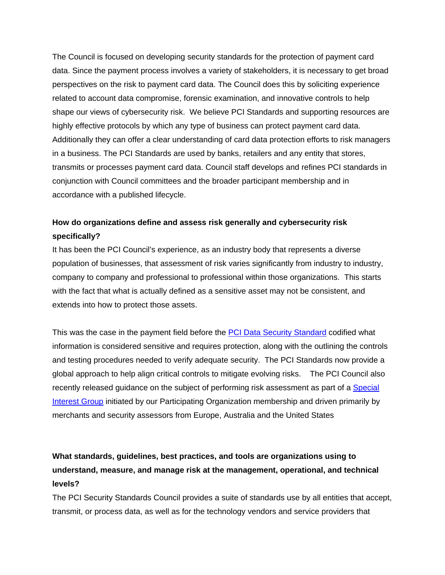The Council is focused on developing security standards for the protection of payment card data. Since the payment process involves a variety of stakeholders, it is necessary to get broad perspectives on the risk to payment card data. The Council does this by soliciting experience related to account data compromise, forensic examination, and innovative controls to help shape our views of cybersecurity risk. We believe PCI Standards and supporting resources are highly effective protocols by which any type of business can protect payment card data. Additionally they can offer a clear understanding of card data protection efforts to risk managers in a business. The PCI Standards are used by banks, retailers and any entity that stores, transmits or processes payment card data. Council staff develops and refines PCI standards in conjunction with Council committees and the broader participant membership and in accordance with a [published lifecycle.](https://www.pcisecuritystandards.org/documents/pci_lifecycle_for_changes_to_dss_and_padss.pdf)

## **How do organizations define and assess risk generally and cybersecurity risk specifically?**

It has been the PCI Council's experience, as an industry body that represents a diverse population of businesses, that assessment of risk varies significantly from industry to industry, company to company and professional to professional within those organizations. This starts with the fact that what is actually defined as a sensitive asset may not be consistent, and extends into how to protect those assets.

This was the case in the payment field before the [PCI Data Security Standard](https://www.pcisecuritystandards.org/security_standards/documents.php?document=pci_dss_v2-0%23pci_dss_v2-0) codified what information is considered sensitive and requires protection, along with the outlining the controls and testing procedures needed to verify adequate security. The PCI Standards now provide a global approach to help align critical controls to mitigate evolving risks. The PCI Council also recently released [guidance on the subject of performing risk assessment](https://www.pcisecuritystandards.org/documents/PCI_DSS_v2_Risk_Assmt_Guidelines.pdf) as part of a [Special](https://www.pcisecuritystandards.org/get_involved/special_interest_groups.php)  [Interest Group](https://www.pcisecuritystandards.org/get_involved/special_interest_groups.php) initiated by our Participating Organization membership and driven primarily by merchants and security assessors from Europe, Australia and the United States

## **What standards, guidelines, best practices, and tools are organizations using to understand, measure, and manage risk at the management, operational, and technical levels?**

The PCI Security Standards Council provides a suite of standards use by all entities that accept, transmit, or process data, as well as for the technology vendors and service providers that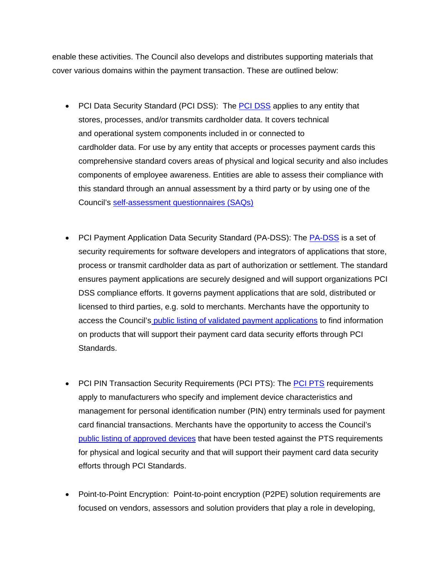enable these activities. The Council also develops and distributes supporting materials that cover various domains within the payment transaction. These are outlined below:

- [PCI Data Security Standard](https://www.pcisecuritystandards.org/documents/pci_dss_v2.pdf) (PCI DSS): The [PCI DSS](https://www.pcisecuritystandards.org/documents/pci_dss_v2.pdf) applies to any entity that stores, processes, and/or transmits cardholder data. It covers technical and operational system components included in or connected to cardholder data. For use by any entity that accepts or processes payment cards this comprehensive standard covers areas of physical and logical security and also includes components of employee awareness. Entities are able to assess their compliance with this standard through an annual assessment by a third party or by using one of the Council's self-assessment [questionnaires \(SAQs\)](https://www.pcisecuritystandards.org/security_standards/documents.php?agreements=pcidss&association=padss)
- [PCI Payment Application Data Security Standard \(PA-DSS\):](https://www.pcisecuritystandards.org/documents/pa-dss_v2.pdf) The [PA-DSS](https://www.pcisecuritystandards.org/documents/pa-dss_v2.pdf) is a set of security requirements for software developers and integrators of applications that store, process or transmit cardholder data as part of authorization or settlement. The standard ensures payment applications are securely designed and will support organizations PCI DSS compliance efforts. It governs payment applications that are sold, distributed or licensed to third parties, e.g. sold to merchants. Merchants have the opportunity to access the Council's [public listing of validated payment applications](https://www.pcisecuritystandards.org/approved_companies_providers/validated_payment_applications.php?agree=true) to find information on products that will support their payment card data security efforts through PCI Standards.
- [PCI PIN Transaction Security Requirements \(PCI PTS\):](https://www.pcisecuritystandards.org/security_standards/documents.php) The **PCI PTS** requirements apply to manufacturers who specify and implement device characteristics and management for personal identification number (PIN) entry terminals used for payment card financial transactions. Merchants have the opportunity to access the Council's [public listing of approved devices](https://www.pcisecuritystandards.org/approved_companies_providers/approved_pin_transaction_security.php) that have been tested against the PTS requirements for physical and logical security and that will support their payment card data security efforts through PCI Standards.
- Point-to-Point Encryption: Point-to-point encryption [\(P2PE\)](https://www.pcisecuritystandards.org/security_standards/documents.php) solution requirements are focused on vendors, assessors and solution providers that play a role in developing,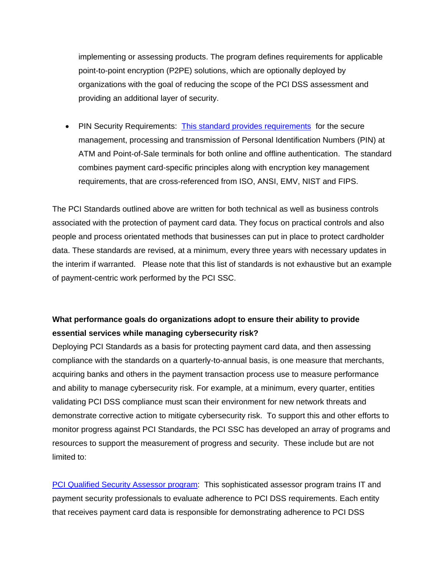implementing or assessing products. The program defines requirements for applicable point-to-point encryption (P2PE) solutions, which are optionally deployed by organizations with the goal of reducing the scope of the PCI DSS assessment and providing an additional layer of security.

• PIN Security Requirements: [This standard provides requirements](https://www.pcisecuritystandards.org/documents/PCI_PIN_Security_Requirements.pdf) for the secure management, processing and transmission of Personal Identification Numbers (PIN) at ATM and Point-of-Sale terminals for both online and offline authentication. The standard combines payment card-specific principles along with encryption key management requirements, that are cross-referenced from ISO, ANSI, EMV, NIST and FIPS.

The PCI Standards outlined above are written for both technical as well as business controls associated with the protection of payment card data. They focus on practical controls and also people and process orientated methods that businesses can put in place to protect cardholder data. These standards are revised, at a minimum, every three years with necessary updates in the interim if warranted. Please note that this list of standards is not exhaustive but an example of payment-centric work performed by the PCI SSC.

### **What performance goals do organizations adopt to ensure their ability to provide essential services while managing cybersecurity risk?**

Deploying PCI Standards as a basis for protecting payment card data, and then assessing compliance with the standards on a quarterly-to-annual basis, is one measure that merchants, acquiring banks and others in the payment transaction process use to measure performance and ability to manage cybersecurity risk. For example, at a minimum, every quarter, entities validating PCI DSS compliance must scan their environment for new network threats and demonstrate corrective action to mitigate cybersecurity risk. To support this and other efforts to monitor progress against PCI Standards, the PCI SSC has developed an array of programs and resources to support the measurement of progress and security. These include but are not limited to:

[PCI Qualified Security Assessor program:](https://www.pcisecuritystandards.org/approved_companies_providers/qualified_security_assessors.php) This sophisticated assessor program trains IT and payment security professionals to evaluate adherence to PCI DSS requirements. Each entity that receives payment card data is responsible for demonstrating adherence to PCI DSS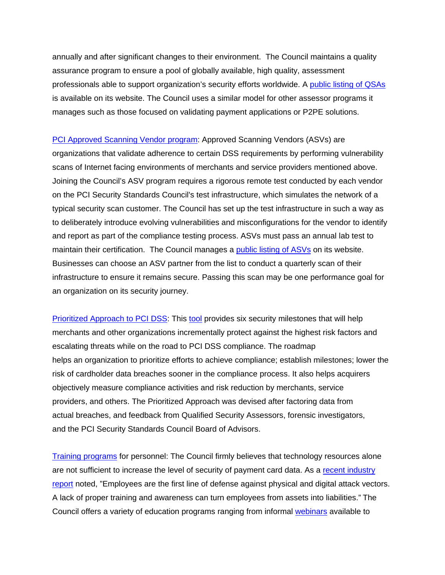annually and after significant changes to their environment. The Council maintains a quality assurance program to ensure a pool of globally available, high quality, assessment professionals able to support organization's security efforts worldwide. A [public listing of QSAs](https://www.pcisecuritystandards.org/approved_companies_providers/verify_qsa_employee.php) is available on its website. The Council uses a similar model for other assessor programs it manages such as those focused on validating payment applications or P2PE solutions.

[PCI Approved Scanning Vendor program:](https://www.pcisecuritystandards.org/approved_companies_providers/approved_scanning_vendors.php) Approved Scanning Vendors (ASVs) are organizations that validate adherence to certain DSS requirements by performing vulnerability scans of Internet facing environments of merchants and service providers mentioned above. Joining the Council's ASV program requires a rigorous remote test conducted by each vendor on the PCI Security Standards Council's test infrastructure, which simulates the network of a typical security scan customer. The Council has set up the test infrastructure in such a way as to deliberately introduce evolving vulnerabilities and misconfigurations for the vendor to identify and report as part of the compliance testing process. ASVs must pass an annual lab test to maintain their certification. The Council manages a [public listing of](https://www.pcisecuritystandards.org/approved_companies_providers/approved_scanning_vendors.php) ASVs on its website. Businesses can choose an ASV partner from the list to conduct a quarterly scan of their infrastructure to ensure it remains secure. Passing this scan may be one performance goal for an organization on its security journey.

[Prioritized Approach to PCI DSS:](https://www.pcisecuritystandards.org/documents/Prioritized_Approach_V2.0.pdf) This [tool](https://www.pcisecuritystandards.org/documents/Prioritized_Approach_for_PCI_DSS_v20.xls) provides six security milestones that will help merchants and other organizations incrementally protect against the highest risk factors and escalating threats while on the road to PCI DSS compliance. The roadmap helps an organization to prioritize efforts to achieve compliance; establish milestones; lower the risk of cardholder data breaches sooner in the compliance process. It also helps acquirers objectively measure compliance activities and risk reduction by merchants, service providers, and others. The Prioritized Approach was devised after factoring data from actual breaches, and feedback from Qualified Security Assessors, forensic investigators, and the PCI Security Standards Council Board of Advisors.

[Training programs](https://www.pcisecuritystandards.org/training/index.php) for personnel: The Council firmly believes that technology resources alone are not sufficient to increase the level of security of payment card data. As a [recent industry](https://www2.trustwave.com/2013GSR.html)  [report](https://www2.trustwave.com/2013GSR.html) noted, "Employees are the first line of defense against physical and digital attack vectors. A lack of proper training and awareness can turn employees from assets into liabilities." The Council offers a variety of education programs ranging from informal [webinars](https://www.pcisecuritystandards.org/training/webinars.php) available to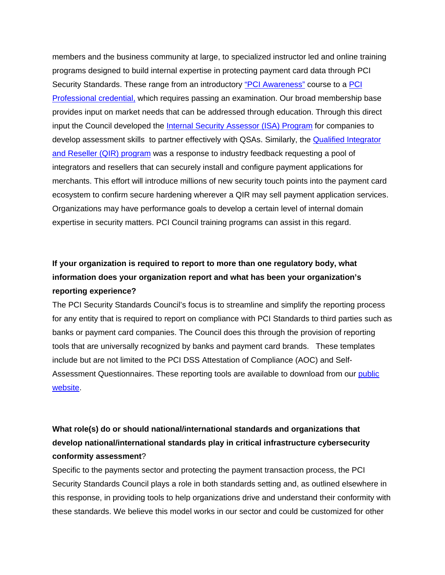members and the business community at large, to specialized instructor led and online training programs designed to build internal expertise in protecting payment card data through PCI Security Standards. These range from an introductory ["PCI Awareness"](https://www.pcisecuritystandards.org/training/non_certification_training.php) course to a PCI [Professional credential,](https://www.pcisecuritystandards.org/training/pcip_training.php) which requires passing an examination. Our broad membership base provides input on market needs that can be addressed through education. Through this direct input the Council developed the [Internal Security Assessor \(ISA\) Program](https://www.pcisecuritystandards.org/training/isa_training.php) for companies to develop assessment skills to partner effectively with QSAs. Similarly, the **Qualified Integrator** [and Reseller \(QIR\) program](https://www.pcisecuritystandards.org/site/qir/) was a response to industry feedback requesting a pool of integrators and resellers that can securely install and configure payment applications for merchants. This effort will introduce millions of new security touch points into the payment card ecosystem to confirm secure hardening wherever a QIR may sell payment application services. Organizations may have performance goals to develop a certain level of internal domain expertise in security matters. PCI Council training programs can assist in this regard.

## **If your organization is required to report to more than one regulatory body, what information does your organization report and what has been your organization's reporting experience?**

The PCI Security Standards Council's focus is to streamline and simplify the reporting process for any entity that is required to report on compliance with PCI Standards to third parties such as banks or payment card companies. The Council does this through the provision of reporting tools that are universally recognized by banks and payment card brands. These templates include but are not limited to the PCI DSS Attestation of Compliance (AOC) and Self-Assessment Questionnaires. These reporting tools are available to download from our [public](https://www.pcisecuritystandards.org/index.php)  [website.](https://www.pcisecuritystandards.org/index.php)

## **What role(s) do or should national/international standards and organizations that develop national/international standards play in critical infrastructure cybersecurity conformity assessment**?

Specific to the payments sector and protecting the payment transaction process, the PCI Security Standards Council plays a role in both standards setting and, as outlined elsewhere in this response, in providing tools to help organizations drive and understand their conformity with these standards. We believe this model works in our sector and could be customized for other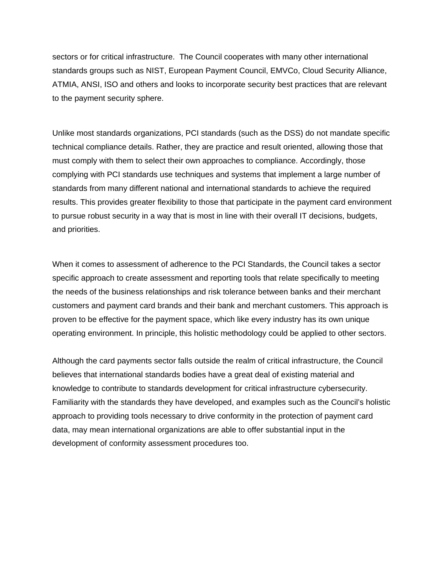sectors or for critical infrastructure. The Council cooperates with many other international standards groups such as NIST, European Payment Council, EMVCo, Cloud Security Alliance, ATMIA, ANSI, ISO and others and looks to incorporate security best practices that are relevant to the payment security sphere.

Unlike most standards organizations, PCI standards (such as the DSS) do not mandate specific technical compliance details. Rather, they are practice and result oriented, allowing those that must comply with them to select their own approaches to compliance. Accordingly, those complying with PCI standards use techniques and systems that implement a large number of standards from many different national and international standards to achieve the required results. This provides greater flexibility to those that participate in the payment card environment to pursue robust security in a way that is most in line with their overall IT decisions, budgets, and priorities.

When it comes to assessment of adherence to the PCI Standards, the Council takes a sector specific approach to create assessment and reporting tools that relate specifically to meeting the needs of the business relationships and risk tolerance between banks and their merchant customers and payment card brands and their bank and merchant customers. This approach is proven to be effective for the payment space, which like every industry has its own unique operating environment. In principle, this holistic methodology could be applied to other sectors.

Although the card payments sector falls outside the realm of critical infrastructure, the Council believes that international standards bodies have a great deal of existing material and knowledge to contribute to standards development for critical infrastructure cybersecurity. Familiarity with the standards they have developed, and examples such as the Council's holistic approach to providing tools necessary to drive conformity in the protection of payment card data, may mean international organizations are able to offer substantial input in the development of conformity assessment procedures too.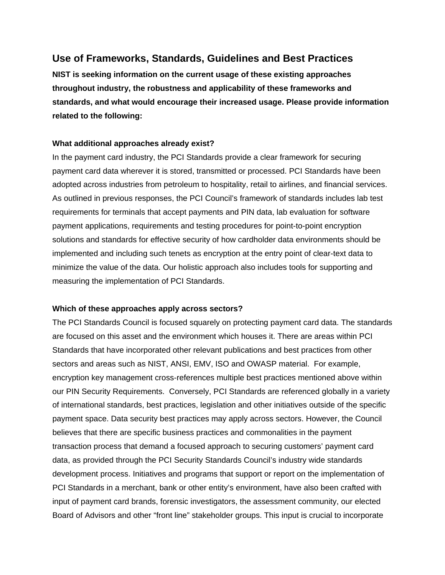## **Use of Frameworks, Standards, Guidelines and Best Practices**

**NIST is seeking information on the current usage of these existing approaches throughout industry, the robustness and applicability of these frameworks and standards, and what would encourage their increased usage. Please provide information related to the following:** 

### **What additional approaches already exist?**

In the payment card industry, the PCI Standards provide a clear framework for securing payment card data wherever it is stored, transmitted or processed. PCI Standards have been adopted across industries from petroleum to hospitality, retail to airlines, and financial services. As outlined in previous responses, the PCI Council's framework of standards includes lab test requirements for terminals that accept payments and PIN data, lab evaluation for software payment applications, requirements and testing procedures for point-to-point encryption solutions and standards for effective security of how cardholder data environments should be implemented and including such tenets as encryption at the entry point of clear-text data to minimize the value of the data. Our holistic approach also includes tools for supporting and measuring the implementation of PCI Standards.

### **Which of these approaches apply across sectors?**

The PCI Standards Council is focused squarely on protecting payment card data. The standards are focused on this asset and the environment which houses it. There are areas within PCI Standards that have incorporated other relevant publications and best practices from other sectors and areas such as NIST, ANSI, EMV, ISO and OWASP material. For example, encryption key management cross-references multiple best practices mentioned above within our PIN Security Requirements. Conversely, PCI Standards are referenced globally in a variety of international standards, best practices, legislation and other initiatives outside of the specific payment space. Data security best practices may apply across sectors. However, the Council believes that there are specific business practices and commonalities in the payment transaction process that demand a focused approach to securing customers' payment card data, as provided through the PCI Security Standards Council's industry wide standards development process. Initiatives and programs that support or report on the implementation of PCI Standards in a merchant, bank or other entity's environment, have also been crafted with input of payment card brands, forensic investigators, the assessment community, our elected Board of Advisors and other "front line" stakeholder groups. This input is crucial to incorporate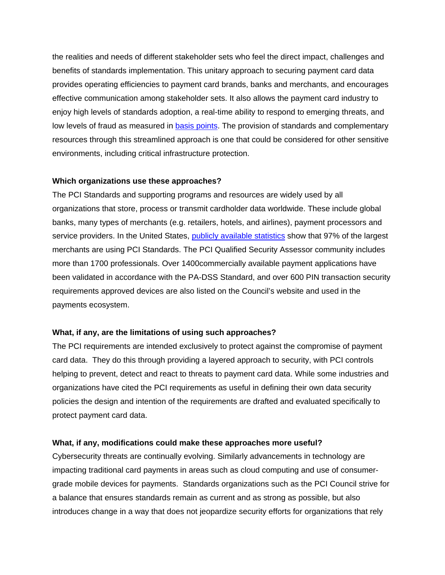the realities and needs of different stakeholder sets who feel the direct impact, challenges and benefits of standards implementation. This unitary approach to securing payment card data provides operating efficiencies to payment card brands, banks and merchants, and encourages effective communication among stakeholder sets. It also allows the payment card industry to enjoy high levels of standards adoption, a real-time ability to respond to emerging threats, and low levels of fraud as measured in [basis points.](http://lexicon.ft.com/Term?term=basis-point-BPS) The provision of standards and complementary resources through this streamlined approach is one that could be considered for other sensitive environments, including critical infrastructure protection.

### **Which organizations use these approaches?**

The PCI Standards and supporting programs and resources are widely used by all organizations that store, process or transmit cardholder data worldwide. These include global banks, many types of merchants (e.g. retailers, hotels, and airlines), payment processors and service providers. In the United States, [publicly available statistics](http://usa.visa.com/download/merchants/cisp_pcidss_compliancestats.pdf) show that 97% of the largest merchants are using PCI Standards. The PCI Qualified Security Assessor community includes more than 1700 professionals. Over 1400commercially available payment applications have been validated in accordance with the PA-DSS Standard, and over 600 PIN transaction security requirements approved devices are also listed on the Council's website and used in the payments ecosystem.

### **What, if any, are the limitations of using such approaches?**

The PCI requirements are intended exclusively to protect against the compromise of payment card data. They do this through providing a layered approach to security, with PCI controls helping to prevent, detect and react to threats to payment card data. While some industries and organizations have cited the PCI requirements as useful in defining their own data security policies the design and intention of the requirements are drafted and evaluated specifically to protect payment card data.

#### **What, if any, modifications could make these approaches more useful?**

Cybersecurity threats are continually evolving. Similarly advancements in technology are impacting traditional card payments in areas such as cloud computing and use of consumergrade mobile devices for payments. Standards organizations such as the PCI Council strive for a balance that ensures standards remain as current and as strong as possible, but also introduces change in a way that does not jeopardize security efforts for organizations that rely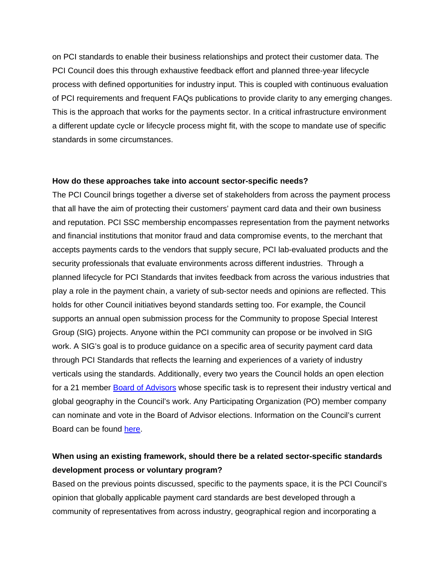on PCI standards to enable their business relationships and protect their customer data. The PCI Council does this through exhaustive feedback effort and planned [three-year lifecycle](https://www.pcisecuritystandards.org/documents/pci_lifecycle_for_changes_to_dss_and_padss.pdf)  [process](https://www.pcisecuritystandards.org/documents/pci_lifecycle_for_changes_to_dss_and_padss.pdf) with defined opportunities for industry input. This is coupled with continuous evaluation of PCI requirements and frequent FAQs publications to provide clarity to any emerging changes. This is the approach that works for the payments sector. In a critical infrastructure environment a different update cycle or lifecycle process might fit, with the scope to mandate use of specific standards in some circumstances.

#### **How do these approaches take into account sector-specific needs?**

The PCI Council brings together a diverse set of stakeholders from across the payment process that all have the aim of protecting their customers' payment card data and their own business and reputation. PCI SSC membership encompasses representation from the payment networks and financial institutions that monitor fraud and data compromise events, to the merchant that accepts payments cards to the vendors that supply secure, PCI lab-evaluated products and the security professionals that evaluate environments across different industries. Through a planned lifecycle for PCI Standards that invites feedback from across the various industries that play a role in the payment chain, a variety of sub-sector needs and opinions are reflected. This holds for other Council initiatives beyond standards setting too. For example, the Council supports an annual open submission process for the Community to propose Special Interest Group (SIG) projects. Anyone within the PCI community can propose or be involved in SIG work. A SIG's goal is to produce guidance on a specific area of security payment card data through PCI Standards that reflects the learning and experiences of a variety of industry verticals using the standards. Additionally, every two years the Council holds an open election for a 21 member [Board of Advisors](https://www.pcisecuritystandards.org/organization_info/board-of-advisors.php) whose specific task is to represent their industry vertical and global geography in the Council's work. Any Participating Organization (PO) member company can nominate and vote in the Board of Advisor elections. Information on the Council's [current](https://www.pcisecuritystandards.org/organization_info/board-of-advisors.php)  [Board can be found here.](https://www.pcisecuritystandards.org/organization_info/board-of-advisors.php)

## **When using an existing framework, should there be a related sector-specific standards development process or voluntary program?**

Based on the previous points discussed, specific to the payments space, it is the PCI Council's opinion that globally applicable payment card standards are best developed through a community of representatives from across industry, geographical region and incorporating a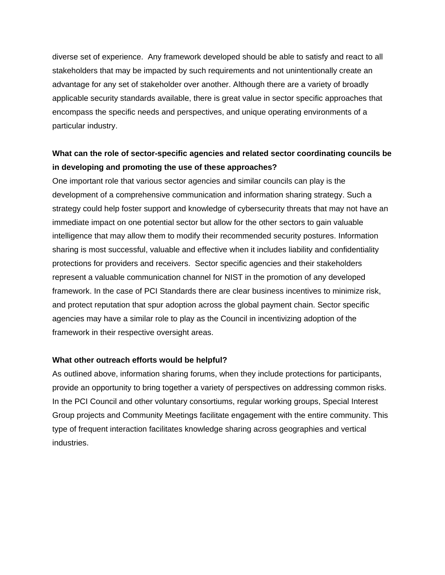diverse set of experience. Any framework developed should be able to satisfy and react to all stakeholders that may be impacted by such requirements and not unintentionally create an advantage for any set of stakeholder over another. Although there are a variety of broadly applicable security standards available, there is great value in sector specific approaches that encompass the specific needs and perspectives, and unique operating environments of a particular industry.

### **What can the role of sector-specific agencies and related sector coordinating councils be in developing and promoting the use of these approaches?**

One important role that various sector agencies and similar councils can play is the development of a comprehensive communication and information sharing strategy. Such a strategy could help foster support and knowledge of cybersecurity threats that may not have an immediate impact on one potential sector but allow for the other sectors to gain valuable intelligence that may allow them to modify their recommended security postures. Information sharing is most successful, valuable and effective when it includes liability and confidentiality protections for providers and receivers. Sector specific agencies and their stakeholders represent a valuable communication channel for NIST in the promotion of any developed framework. In the case of PCI Standards there are clear business incentives to minimize risk, and protect reputation that spur adoption across the global payment chain. Sector specific agencies may have a similar role to play as the Council in incentivizing adoption of the framework in their respective oversight areas.

### **What other outreach efforts would be helpful?**

As outlined above, information sharing forums, when they include protections for participants, provide an opportunity to bring together a variety of perspectives on addressing common risks. In the PCI Council and other voluntary consortiums, regular working groups, Special Interest Group projects and Community Meetings facilitate engagement with the entire community. This type of frequent interaction facilitates knowledge sharing across geographies and vertical industries.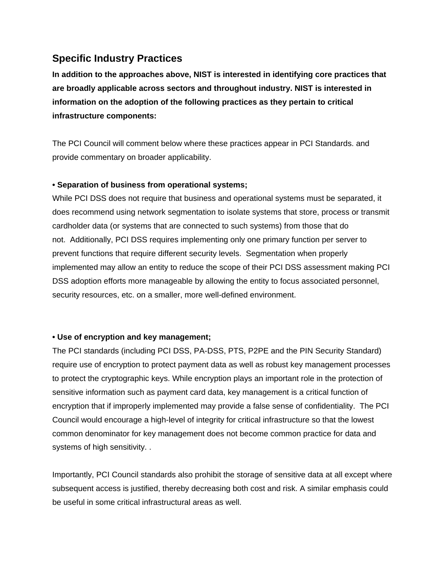## **Specific Industry Practices**

**In addition to the approaches above, NIST is interested in identifying core practices that are broadly applicable across sectors and throughout industry. NIST is interested in information on the adoption of the following practices as they pertain to critical infrastructure components:** 

The PCI Council will comment below where these practices appear in PCI Standards. and provide commentary on broader applicability.

### **• Separation of business from operational systems;**

While PCI DSS does not require that business and operational systems must be separated, it does recommend using network segmentation to isolate systems that store, process or transmit cardholder data (or systems that are connected to such systems) from those that do not. Additionally, PCI DSS requires implementing only one primary function per server to prevent functions that require different security levels. Segmentation when properly implemented may allow an entity to reduce the scope of their PCI DSS assessment making PCI DSS adoption efforts more manageable by allowing the entity to focus associated personnel, security resources, etc. on a smaller, more well-defined environment.

### **• Use of encryption and key management;**

The PCI standards (including PCI DSS, PA-DSS, PTS, P2PE and the PIN Security Standard) require use of encryption to protect payment data as well as robust key management processes to protect the cryptographic keys. While encryption plays an important role in the protection of sensitive information such as payment card data, key management is a critical function of encryption that if improperly implemented may provide a false sense of confidentiality. The PCI Council would encourage a high-level of integrity for critical infrastructure so that the lowest common denominator for key management does not become common practice for data and systems of high sensitivity. .

Importantly, PCI Council standards also prohibit the storage of sensitive data at all except where subsequent access is justified, thereby decreasing both cost and risk. A similar emphasis could be useful in some critical infrastructural areas as well.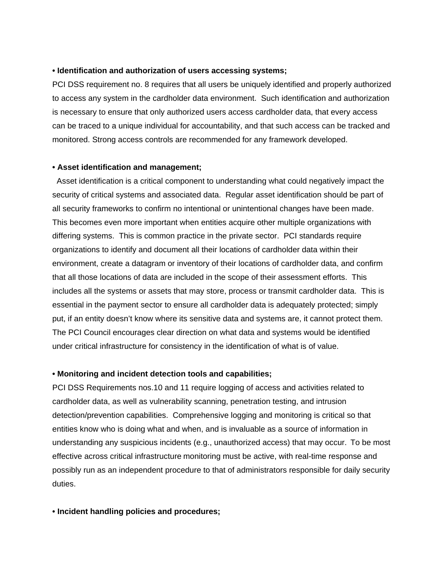#### **• Identification and authorization of users accessing systems;**

PCI DSS requirement no. 8 requires that all users be uniquely identified and properly authorized to access any system in the cardholder data environment. Such identification and authorization is necessary to ensure that only authorized users access cardholder data, that every access can be traced to a unique individual for accountability, and that such access can be tracked and monitored. Strong access controls are recommended for any framework developed.

### **• Asset identification and management;**

 Asset identification is a critical component to understanding what could negatively impact the security of critical systems and associated data. Regular asset identification should be part of all security frameworks to confirm no intentional or unintentional changes have been made. This becomes even more important when entities acquire other multiple organizations with differing systems. This is common practice in the private sector. PCI standards require organizations to identify and document all their locations of cardholder data within their environment, create a datagram or inventory of their locations of cardholder data, and confirm that all those locations of data are included in the scope of their assessment efforts. This includes all the systems or assets that may store, process or transmit cardholder data. This is essential in the payment sector to ensure all cardholder data is adequately protected; simply put, if an entity doesn't know where its sensitive data and systems are, it cannot protect them. The PCI Council encourages clear direction on what data and systems would be identified under critical infrastructure for consistency in the identification of what is of value.

#### **• Monitoring and incident detection tools and capabilities;**

PCI DSS Requirements nos.10 and 11 require logging of access and activities related to cardholder data, as well as vulnerability scanning, penetration testing, and intrusion detection/prevention capabilities. Comprehensive logging and monitoring is critical so that entities know who is doing what and when, and is invaluable as a source of information in understanding any suspicious incidents (e.g., unauthorized access) that may occur. To be most effective across critical infrastructure monitoring must be active, with real-time response and possibly run as an independent procedure to that of administrators responsible for daily security duties.

### **• Incident handling policies and procedures;**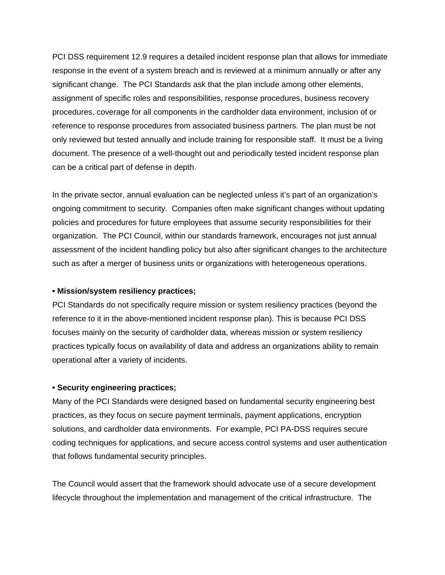PCI DSS requirement 12.9 requires a detailed incident response plan that allows for immediate response in the event of a system breach and is reviewed at a minimum annually or after any significant change. The PCI Standards ask that the plan include among other elements, assignment of specific roles and responsibilities, response procedures, business recovery procedures, coverage for all components in the cardholder data environment, inclusion of or reference to response procedures from associated business partners. The plan must be not only reviewed but tested annually and include training for responsible staff. It must be a living document. The presence of a well-thought out and periodically tested incident response plan can be a critical part of defense in depth.

In the private sector, annual evaluation can be neglected unless it's part of an organization's ongoing commitment to security. Companies often make significant changes without updating policies and procedures for future employees that assume security responsibilities for their organization. The PCI Council, within our standards framework, encourages not just annual assessment of the incident handling policy but also after significant changes to the architecture such as after a merger of business units or organizations with heterogeneous operations.

#### **• Mission/system resiliency practices;**

PCI Standards do not specifically require mission or system resiliency practices (beyond the reference to it in the above-mentioned incident response plan). This is because PCI DSS focuses mainly on the security of cardholder data, whereas mission or system resiliency practices typically focus on availability of data and address an organizations ability to remain operational after a variety of incidents.

#### **• Security engineering practices;**

Many of the PCI Standards were designed based on fundamental security engineering best practices, as they focus on secure payment terminals, payment applications, encryption solutions, and cardholder data environments. For example, PCI PA-DSS requires secure coding techniques for applications, and secure access control systems and user authentication that follows fundamental security principles.

The Council would assert that the framework should advocate use of a secure development lifecycle throughout the implementation and management of the critical infrastructure. The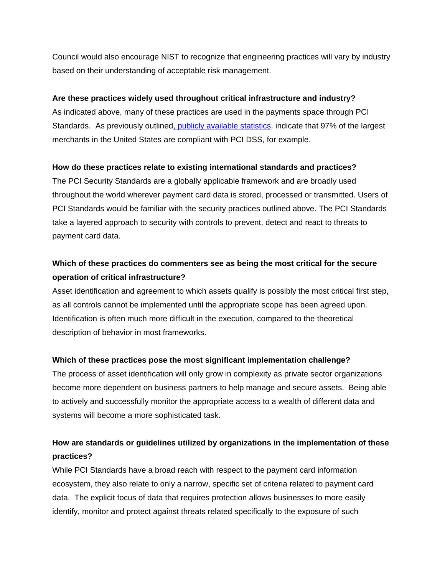Council would also encourage NIST to recognize that engineering practices will vary by industry based on their understanding of acceptable risk management.

### **Are these practices widely used throughout critical infrastructure and industry?**

As indicated above, many of these practices are used in the payments space through PCI Standards. As previously outline[d, publicly available](http://usa.visa.com/download/merchants/cisp_pcidss_compliancestats.pdf) statistics. indicate that 97% of the largest merchants in the United States are compliant with PCI DSS, for example.

### **How do these practices relate to existing international standards and practices?**

The PCI Security Standards are a globally applicable framework and are broadly used throughout the world wherever payment card data is stored, processed or transmitted. Users of PCI Standards would be familiar with the security practices outlined above. The PCI Standards take a layered approach to security with controls to prevent, detect and react to threats to payment card data.

## **Which of these practices do commenters see as being the most critical for the secure operation of critical infrastructure?**

Asset identification and agreement to which assets qualify is possibly the most critical first step, as all controls cannot be implemented until the appropriate scope has been agreed upon. Identification is often much more difficult in the execution, compared to the theoretical description of behavior in most frameworks.

### **Which of these practices pose the most significant implementation challenge?**

The process of asset identification will only grow in complexity as private sector organizations become more dependent on business partners to help manage and secure assets. Being able to actively and successfully monitor the appropriate access to a wealth of different data and systems will become a more sophisticated task.

### **How are standards or guidelines utilized by organizations in the implementation of these practices?**

While PCI Standards have a broad reach with respect to the payment card information ecosystem, they also relate to only a narrow, specific set of criteria related to payment card data. The explicit focus of data that requires protection allows businesses to more easily identify, monitor and protect against threats related specifically to the exposure of such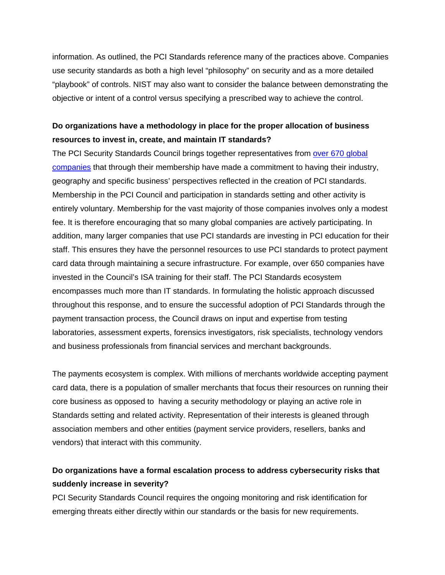information. As outlined, the PCI Standards reference many of the practices above. Companies use security standards as both a high level "philosophy" on security and as a more detailed "playbook" of controls. NIST may also want to consider the balance between demonstrating the objective or intent of a control versus specifying a prescribed way to achieve the control.

## **Do organizations have a methodology in place for the proper allocation of business resources to invest in, create, and maintain IT standards?**

The PCI Security Standards Council brings together representatives from [over 670 global](https://www.pcisecuritystandards.org/get_involved/member_list.php)  [companies](https://www.pcisecuritystandards.org/get_involved/member_list.php) that through their membership have made a commitment to having their industry, geography and specific business' perspectives reflected in the creation of PCI standards. Membership in the PCI Council and participation in standards setting and other activity is entirely voluntary. Membership for the vast majority of those companies involves only a modest fee. It is therefore encouraging that so many global companies are actively participating. In addition, many larger companies that use PCI standards are investing in PCI education for their staff. This ensures they have the personnel resources to use PCI standards to protect payment card data through maintaining a secure infrastructure. For example, over 650 companies have invested in the Council's ISA training for their staff. The PCI Standards ecosystem encompasses much more than IT standards. In formulating the holistic approach discussed throughout this response, and to ensure the successful adoption of PCI Standards through the payment transaction process, the Council draws on input and expertise from testing laboratories, assessment experts, forensics investigators, risk specialists, technology vendors and business professionals from financial services and merchant backgrounds.

The payments ecosystem is complex. With millions of merchants worldwide accepting payment card data, there is a population of smaller merchants that focus their resources on running their core business as opposed to having a security methodology or playing an active role in Standards setting and related activity. Representation of their interests is gleaned through association members and other entities (payment service providers, resellers, banks and vendors) that interact with this community.

### **Do organizations have a formal escalation process to address cybersecurity risks that suddenly increase in severity?**

PCI Security Standards Council requires the ongoing monitoring and risk identification for emerging threats either directly within our standards or the basis for new requirements.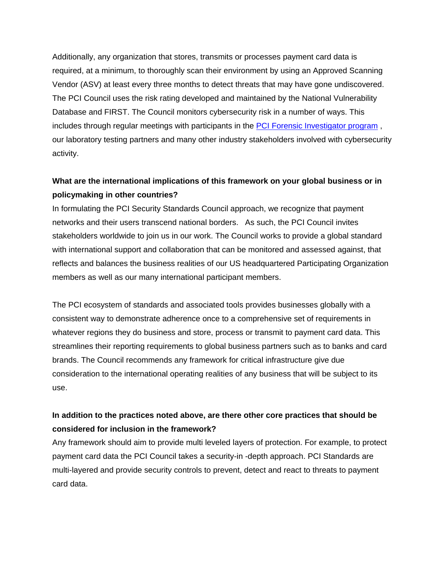Additionally, any organization that stores, transmits or processes payment card data is required, at a minimum, to thoroughly scan their environment by using an Approved Scanning Vendor (ASV) at least every three months to detect threats that may have gone undiscovered. The PCI Council uses the risk rating developed and maintained by the National Vulnerability Database and FIRST. The Council monitors cybersecurity risk in a number of ways. This includes through regular meetings with participants in the [PCI Forensic Investigator program](https://www.pcisecuritystandards.org/approved_companies_providers/pci_forensic_investigator.php) , our laboratory testing partners and many other industry stakeholders involved with cybersecurity activity.

## **What are the international implications of this framework on your global business or in policymaking in other countries?**

In formulating the PCI Security Standards Council approach, we recognize that payment networks and their users transcend national borders. As such, the PCI Council invites stakeholders worldwide to join us in our work. The Council works to provide a global standard with international support and collaboration that can be monitored and assessed against, that reflects and balances the business realities of our US headquartered Participating Organization members as well as our many international participant members.

The PCI ecosystem of standards and associated tools provides businesses globally with a consistent way to demonstrate adherence once to a comprehensive set of requirements in whatever regions they do business and store, process or transmit to payment card data. This streamlines their reporting requirements to global business partners such as to banks and card brands. The Council recommends any framework for critical infrastructure give due consideration to the international operating realities of any business that will be subject to its use.

### **In addition to the practices noted above, are there other core practices that should be considered for inclusion in the framework?**

Any framework should aim to provide multi leveled layers of protection. For example, to protect payment card data the PCI Council takes a security-in -depth approach. PCI Standards are multi-layered and provide security controls to prevent, detect and react to threats to payment card data.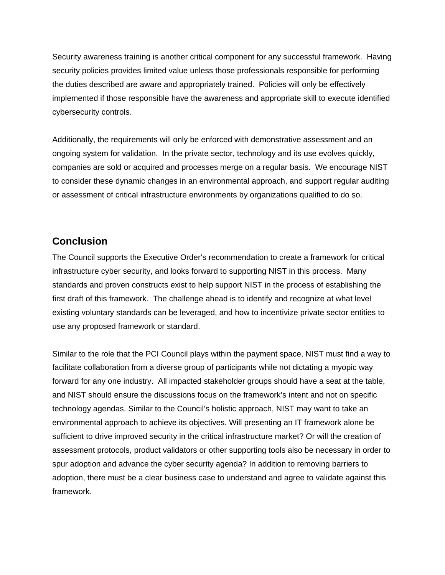Security awareness training is another critical component for any successful framework. Having security policies provides limited value unless those professionals responsible for performing the duties described are aware and appropriately trained. Policies will only be effectively implemented if those responsible have the awareness and appropriate skill to execute identified cybersecurity controls.

Additionally, the requirements will only be enforced with demonstrative assessment and an ongoing system for validation. In the private sector, technology and its use evolves quickly, companies are sold or acquired and processes merge on a regular basis. We encourage NIST to consider these dynamic changes in an environmental approach, and support regular auditing or assessment of critical infrastructure environments by organizations qualified to do so.

### **Conclusion**

The Council supports the Executive Order's recommendation to create a framework for critical infrastructure cyber security, and looks forward to supporting NIST in this process. Many standards and proven constructs exist to help support NIST in the process of establishing the first draft of this framework. The challenge ahead is to identify and recognize at what level existing voluntary standards can be leveraged, and how to incentivize private sector entities to use any proposed framework or standard.

Similar to the role that the PCI Council plays within the payment space, NIST must find a way to facilitate collaboration from a diverse group of participants while not dictating a myopic way forward for any one industry. All impacted stakeholder groups should have a seat at the table, and NIST should ensure the discussions focus on the framework's intent and not on specific technology agendas. Similar to the Council's holistic approach, NIST may want to take an environmental approach to achieve its objectives. Will presenting an IT framework alone be sufficient to drive improved security in the critical infrastructure market? Or will the creation of assessment protocols, product validators or other supporting tools also be necessary in order to spur adoption and advance the cyber security agenda? In addition to removing barriers to adoption, there must be a clear business case to understand and agree to validate against this framework.